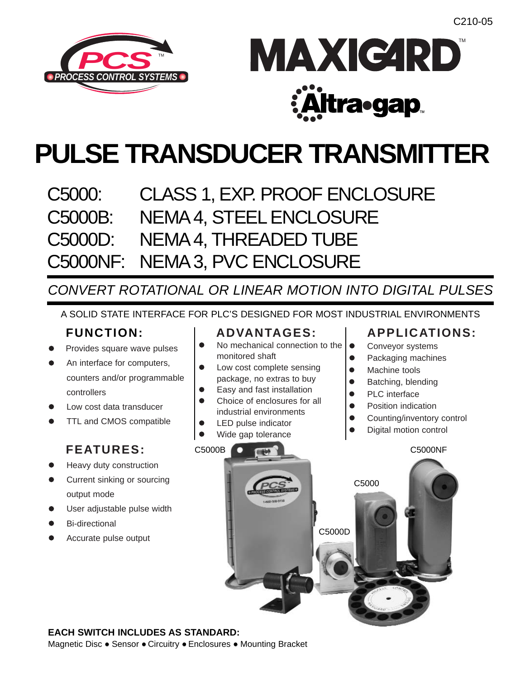



# **PULSE TRANSDUCER TRANSMITTER**

C5000: CLASS 1, EXP. PROOF ENCLOSURE C5000B: NEMA 4, STEEL ENCLOSURE C5000D: NEMA 4, THREADED TUBE C5000NF: NEMA 3, PVC ENCLOSURE

*CONVERT ROTATIONAL OR LINEAR MOTION INTO DIGITAL PULSES*

A SOLID STATE INTERFACE FOR PLC'S DESIGNED FOR MOST INDUSTRIAL ENVIRONMENTS

# **FUNCTION:**

- Provides square wave pulses
- An interface for computers, counters and/or programmable controllers
- Low cost data transducer
- TTL and CMOS compatible

# **FEATURES:**

- Heavy duty construction
- Current sinking or sourcing output mode
- User adjustable pulse width
- Bi-directional
- Accurate pulse output

# **ADVANTAGES:**

- $\bullet$  No mechanical connection to the monitored shaft
- Low cost complete sensing package, no extras to buy
- Easy and fast installation
- Choice of enclosures for all industrial environments
- LED pulse indicator
- Wide gap tolerance

# **APPLICATIONS:**

• Conveyor systems

- Packaging machines
- Machine tools
- Batching, blending
- PLC interface
- Position indication
- Counting/inventory control
- Digital motion control



### **EACH SWITCH INCLUDES AS STANDARD:**

Magnetic Disc • Sensor • Circuitry • Enclosures • Mounting Bracket